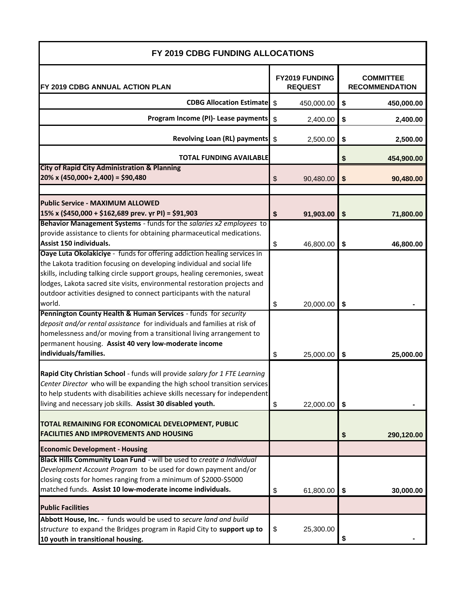| FY 2019 CDBG FUNDING ALLOCATIONS                                            |                                  |            |                                           |            |  |
|-----------------------------------------------------------------------------|----------------------------------|------------|-------------------------------------------|------------|--|
| FY 2019 CDBG ANNUAL ACTION PLAN                                             | FY2019 FUNDING<br><b>REQUEST</b> |            | <b>COMMITTEE</b><br><b>RECOMMENDATION</b> |            |  |
| <b>CDBG Allocation Estimate</b> \$                                          |                                  | 450,000.00 | \$                                        | 450,000.00 |  |
| Program Income (PI)- Lease payments                                         | $\sqrt[6]{\frac{1}{2}}$          | 2,400.00   | \$                                        | 2,400.00   |  |
| <b>Revolving Loan (RL) payments</b>                                         | -\$                              | 2,500.00   | \$                                        | 2,500.00   |  |
| <b>TOTAL FUNDING AVAILABLE</b>                                              |                                  |            | \$                                        | 454,900.00 |  |
| <b>City of Rapid City Administration &amp; Planning</b>                     |                                  |            |                                           |            |  |
| $20\% \times (450,000 + 2,400) = $90,480$                                   | \$                               | 90,480.00  | \$                                        | 90,480.00  |  |
| <b>Public Service - MAXIMUM ALLOWED</b>                                     |                                  |            |                                           |            |  |
| 15% x (\$450,000 + \$162,689 prev. yr PI) = \$91,903                        | \$                               | 91,903.00  | \$                                        | 71,800.00  |  |
| Behavior Management Systems - funds for the salaries x2 employees to        |                                  |            |                                           |            |  |
| provide assistance to clients for obtaining pharmaceutical medications.     |                                  |            |                                           |            |  |
| Assist 150 individuals.                                                     | \$                               | 46,800.00  | \$                                        | 46,800.00  |  |
| Oaye Luta Okolakiciye - funds for offering addiction healing services in    |                                  |            |                                           |            |  |
| the Lakota tradition focusing on developing individual and social life      |                                  |            |                                           |            |  |
| skills, including talking circle support groups, healing ceremonies, sweat  |                                  |            |                                           |            |  |
| lodges, Lakota sacred site visits, environmental restoration projects and   |                                  |            |                                           |            |  |
| outdoor activities designed to connect participants with the natural        |                                  |            |                                           |            |  |
| world.                                                                      | \$                               | 20,000.00  | \$                                        |            |  |
| Pennington County Health & Human Services - funds for security              |                                  |            |                                           |            |  |
| deposit and/or rental assistance for individuals and families at risk of    |                                  |            |                                           |            |  |
| homelessness and/or moving from a transitional living arrangement to        |                                  |            |                                           |            |  |
| permanent housing. Assist 40 very low-moderate income                       |                                  |            |                                           |            |  |
| individuals/families.                                                       | \$                               | 25,000.00  | \$                                        | 25,000.00  |  |
|                                                                             |                                  |            |                                           |            |  |
| Rapid City Christian School - funds will provide salary for 1 FTE Learning  |                                  |            |                                           |            |  |
| Center Director who will be expanding the high school transition services   |                                  |            |                                           |            |  |
| to help students with disabilities achieve skills necessary for independent |                                  |            |                                           |            |  |
| living and necessary job skills. Assist 30 disabled youth.                  | \$                               | 22,000.00  | \$                                        |            |  |
| TOTAL REMAINING FOR ECONOMICAL DEVELOPMENT, PUBLIC                          |                                  |            |                                           |            |  |
| <b>FACILITIES AND IMPROVEMENTS AND HOUSING</b>                              |                                  |            | \$                                        | 290,120.00 |  |
| <b>Economic Development - Housing</b>                                       |                                  |            |                                           |            |  |
| Black Hills Community Loan Fund - will be used to create a Individual       |                                  |            |                                           |            |  |
| Development Account Program to be used for down payment and/or              |                                  |            |                                           |            |  |
| closing costs for homes ranging from a minimum of \$2000-\$5000             |                                  |            |                                           |            |  |
| matched funds. Assist 10 low-moderate income individuals.                   | \$                               | 61,800.00  | \$                                        | 30,000.00  |  |
| <b>Public Facilities</b>                                                    |                                  |            |                                           |            |  |
| Abbott House, Inc. - funds would be used to secure land and build           |                                  |            |                                           |            |  |
| structure to expand the Bridges program in Rapid City to support up to      | \$                               | 25,300.00  |                                           |            |  |
| 10 youth in transitional housing.                                           |                                  |            | \$                                        |            |  |